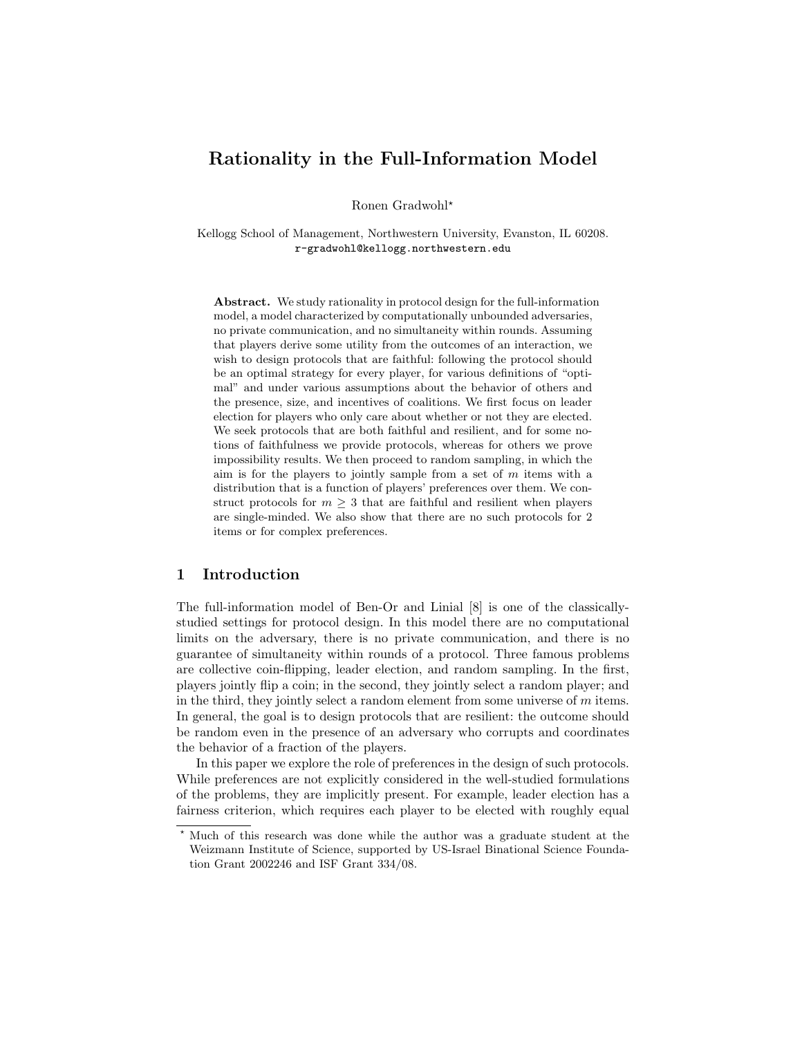# Rationality in the Full-Information Model

Ronen Gradwohl?

Kellogg School of Management, Northwestern University, Evanston, IL 60208. r-gradwohl@kellogg.northwestern.edu

Abstract. We study rationality in protocol design for the full-information model, a model characterized by computationally unbounded adversaries, no private communication, and no simultaneity within rounds. Assuming that players derive some utility from the outcomes of an interaction, we wish to design protocols that are faithful: following the protocol should be an optimal strategy for every player, for various definitions of "optimal" and under various assumptions about the behavior of others and the presence, size, and incentives of coalitions. We first focus on leader election for players who only care about whether or not they are elected. We seek protocols that are both faithful and resilient, and for some notions of faithfulness we provide protocols, whereas for others we prove impossibility results. We then proceed to random sampling, in which the aim is for the players to jointly sample from a set of  $m$  items with a distribution that is a function of players' preferences over them. We construct protocols for  $m \geq 3$  that are faithful and resilient when players are single-minded. We also show that there are no such protocols for 2 items or for complex preferences.

# 1 Introduction

The full-information model of Ben-Or and Linial [8] is one of the classicallystudied settings for protocol design. In this model there are no computational limits on the adversary, there is no private communication, and there is no guarantee of simultaneity within rounds of a protocol. Three famous problems are collective coin-flipping, leader election, and random sampling. In the first, players jointly flip a coin; in the second, they jointly select a random player; and in the third, they jointly select a random element from some universe of  $m$  items. In general, the goal is to design protocols that are resilient: the outcome should be random even in the presence of an adversary who corrupts and coordinates the behavior of a fraction of the players.

In this paper we explore the role of preferences in the design of such protocols. While preferences are not explicitly considered in the well-studied formulations of the problems, they are implicitly present. For example, leader election has a fairness criterion, which requires each player to be elected with roughly equal

<sup>?</sup> Much of this research was done while the author was a graduate student at the Weizmann Institute of Science, supported by US-Israel Binational Science Foundation Grant 2002246 and ISF Grant 334/08.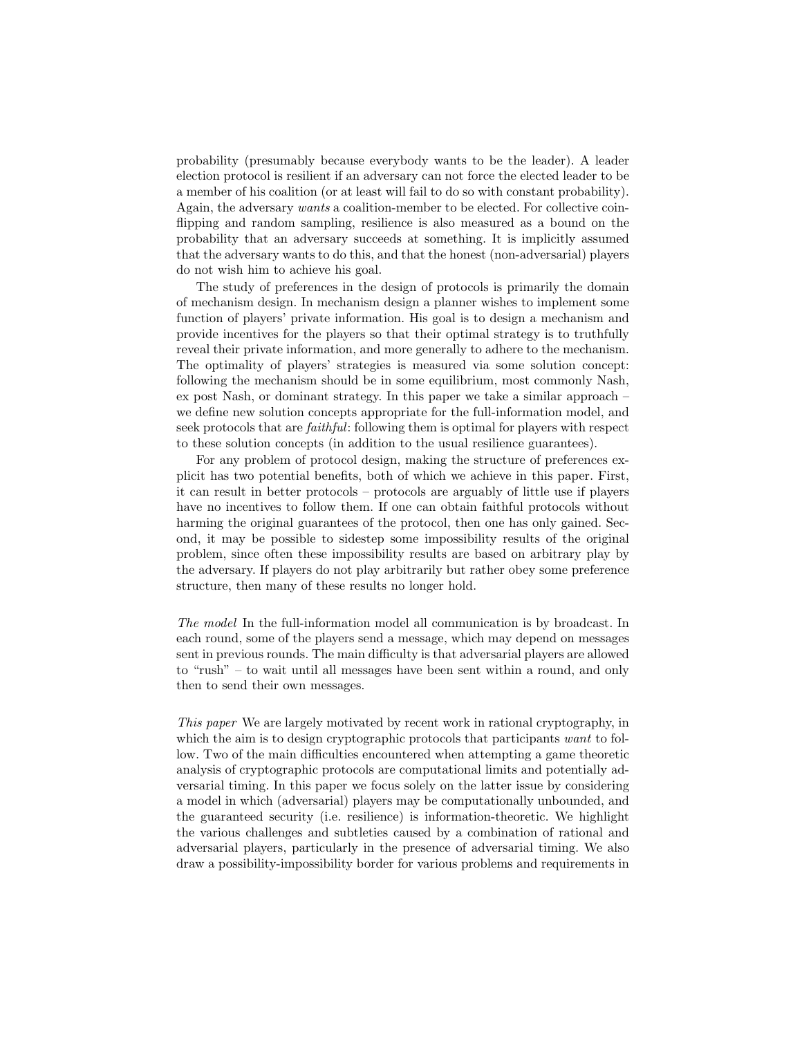probability (presumably because everybody wants to be the leader). A leader election protocol is resilient if an adversary can not force the elected leader to be a member of his coalition (or at least will fail to do so with constant probability). Again, the adversary wants a coalition-member to be elected. For collective coinflipping and random sampling, resilience is also measured as a bound on the probability that an adversary succeeds at something. It is implicitly assumed that the adversary wants to do this, and that the honest (non-adversarial) players do not wish him to achieve his goal.

The study of preferences in the design of protocols is primarily the domain of mechanism design. In mechanism design a planner wishes to implement some function of players' private information. His goal is to design a mechanism and provide incentives for the players so that their optimal strategy is to truthfully reveal their private information, and more generally to adhere to the mechanism. The optimality of players' strategies is measured via some solution concept: following the mechanism should be in some equilibrium, most commonly Nash, ex post Nash, or dominant strategy. In this paper we take a similar approach – we define new solution concepts appropriate for the full-information model, and seek protocols that are faithful: following them is optimal for players with respect to these solution concepts (in addition to the usual resilience guarantees).

For any problem of protocol design, making the structure of preferences explicit has two potential benefits, both of which we achieve in this paper. First, it can result in better protocols – protocols are arguably of little use if players have no incentives to follow them. If one can obtain faithful protocols without harming the original guarantees of the protocol, then one has only gained. Second, it may be possible to sidestep some impossibility results of the original problem, since often these impossibility results are based on arbitrary play by the adversary. If players do not play arbitrarily but rather obey some preference structure, then many of these results no longer hold.

The model In the full-information model all communication is by broadcast. In each round, some of the players send a message, which may depend on messages sent in previous rounds. The main difficulty is that adversarial players are allowed to "rush" – to wait until all messages have been sent within a round, and only then to send their own messages.

This paper We are largely motivated by recent work in rational cryptography, in which the aim is to design cryptographic protocols that participants want to follow. Two of the main difficulties encountered when attempting a game theoretic analysis of cryptographic protocols are computational limits and potentially adversarial timing. In this paper we focus solely on the latter issue by considering a model in which (adversarial) players may be computationally unbounded, and the guaranteed security (i.e. resilience) is information-theoretic. We highlight the various challenges and subtleties caused by a combination of rational and adversarial players, particularly in the presence of adversarial timing. We also draw a possibility-impossibility border for various problems and requirements in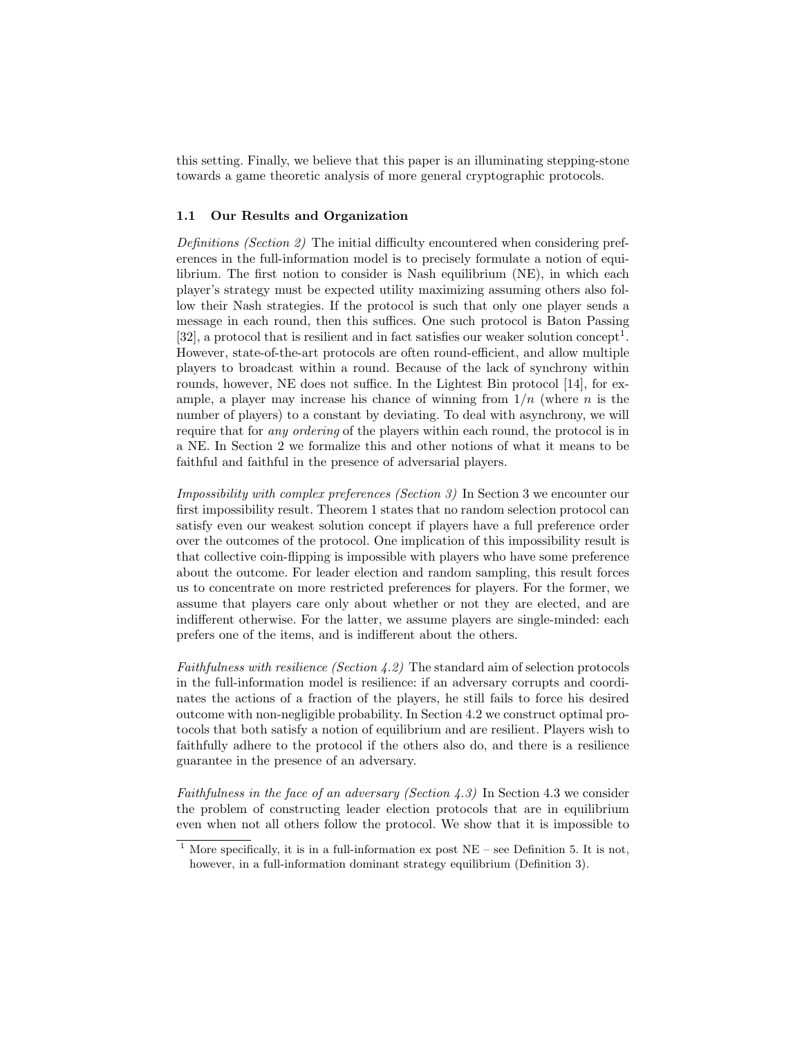this setting. Finally, we believe that this paper is an illuminating stepping-stone towards a game theoretic analysis of more general cryptographic protocols.

# 1.1 Our Results and Organization

Definitions (Section 2) The initial difficulty encountered when considering preferences in the full-information model is to precisely formulate a notion of equilibrium. The first notion to consider is Nash equilibrium (NE), in which each player's strategy must be expected utility maximizing assuming others also follow their Nash strategies. If the protocol is such that only one player sends a message in each round, then this suffices. One such protocol is Baton Passing [32], a protocol that is resilient and in fact satisfies our weaker solution concept<sup>1</sup>. However, state-of-the-art protocols are often round-efficient, and allow multiple players to broadcast within a round. Because of the lack of synchrony within rounds, however, NE does not suffice. In the Lightest Bin protocol [14], for example, a player may increase his chance of winning from  $1/n$  (where n is the number of players) to a constant by deviating. To deal with asynchrony, we will require that for *any ordering* of the players within each round, the protocol is in a NE. In Section 2 we formalize this and other notions of what it means to be faithful and faithful in the presence of adversarial players.

Impossibility with complex preferences (Section 3) In Section 3 we encounter our first impossibility result. Theorem 1 states that no random selection protocol can satisfy even our weakest solution concept if players have a full preference order over the outcomes of the protocol. One implication of this impossibility result is that collective coin-flipping is impossible with players who have some preference about the outcome. For leader election and random sampling, this result forces us to concentrate on more restricted preferences for players. For the former, we assume that players care only about whether or not they are elected, and are indifferent otherwise. For the latter, we assume players are single-minded: each prefers one of the items, and is indifferent about the others.

Faithfulness with resilience (Section 4.2) The standard aim of selection protocols in the full-information model is resilience: if an adversary corrupts and coordinates the actions of a fraction of the players, he still fails to force his desired outcome with non-negligible probability. In Section 4.2 we construct optimal protocols that both satisfy a notion of equilibrium and are resilient. Players wish to faithfully adhere to the protocol if the others also do, and there is a resilience guarantee in the presence of an adversary.

Faithfulness in the face of an adversary (Section 4.3) In Section 4.3 we consider the problem of constructing leader election protocols that are in equilibrium even when not all others follow the protocol. We show that it is impossible to

<sup>&</sup>lt;sup>1</sup> More specifically, it is in a full-information ex post  $NE$  – see Definition 5. It is not, however, in a full-information dominant strategy equilibrium (Definition 3).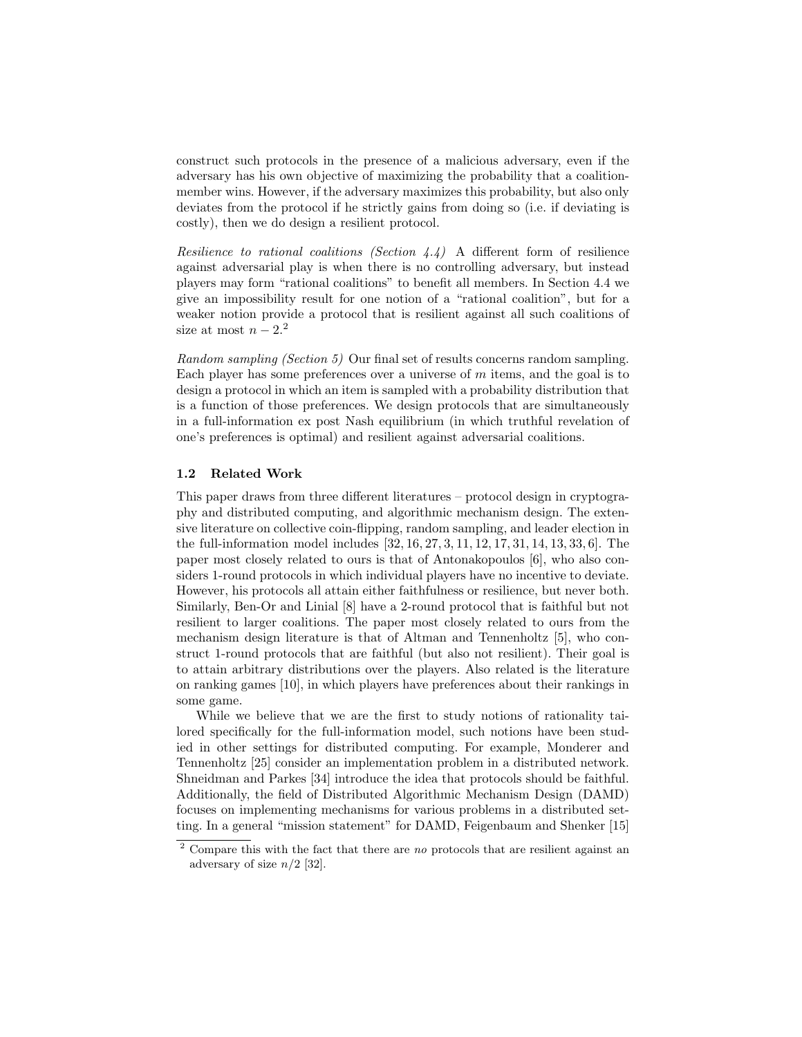construct such protocols in the presence of a malicious adversary, even if the adversary has his own objective of maximizing the probability that a coalitionmember wins. However, if the adversary maximizes this probability, but also only deviates from the protocol if he strictly gains from doing so (i.e. if deviating is costly), then we do design a resilient protocol.

Resilience to rational coalitions (Section  $4.4$ ) A different form of resilience against adversarial play is when there is no controlling adversary, but instead players may form "rational coalitions" to benefit all members. In Section 4.4 we give an impossibility result for one notion of a "rational coalition", but for a weaker notion provide a protocol that is resilient against all such coalitions of size at most  $n-2<sup>2</sup>$ 

Random sampling (Section 5) Our final set of results concerns random sampling. Each player has some preferences over a universe of  $m$  items, and the goal is to design a protocol in which an item is sampled with a probability distribution that is a function of those preferences. We design protocols that are simultaneously in a full-information ex post Nash equilibrium (in which truthful revelation of one's preferences is optimal) and resilient against adversarial coalitions.

### 1.2 Related Work

This paper draws from three different literatures – protocol design in cryptography and distributed computing, and algorithmic mechanism design. The extensive literature on collective coin-flipping, random sampling, and leader election in the full-information model includes [32, 16, 27, 3, 11, 12, 17, 31, 14, 13, 33, 6]. The paper most closely related to ours is that of Antonakopoulos [6], who also considers 1-round protocols in which individual players have no incentive to deviate. However, his protocols all attain either faithfulness or resilience, but never both. Similarly, Ben-Or and Linial [8] have a 2-round protocol that is faithful but not resilient to larger coalitions. The paper most closely related to ours from the mechanism design literature is that of Altman and Tennenholtz [5], who construct 1-round protocols that are faithful (but also not resilient). Their goal is to attain arbitrary distributions over the players. Also related is the literature on ranking games [10], in which players have preferences about their rankings in some game.

While we believe that we are the first to study notions of rationality tailored specifically for the full-information model, such notions have been studied in other settings for distributed computing. For example, Monderer and Tennenholtz [25] consider an implementation problem in a distributed network. Shneidman and Parkes [34] introduce the idea that protocols should be faithful. Additionally, the field of Distributed Algorithmic Mechanism Design (DAMD) focuses on implementing mechanisms for various problems in a distributed setting. In a general "mission statement" for DAMD, Feigenbaum and Shenker [15]

 $2$  Compare this with the fact that there are no protocols that are resilient against an adversary of size  $n/2$  [32].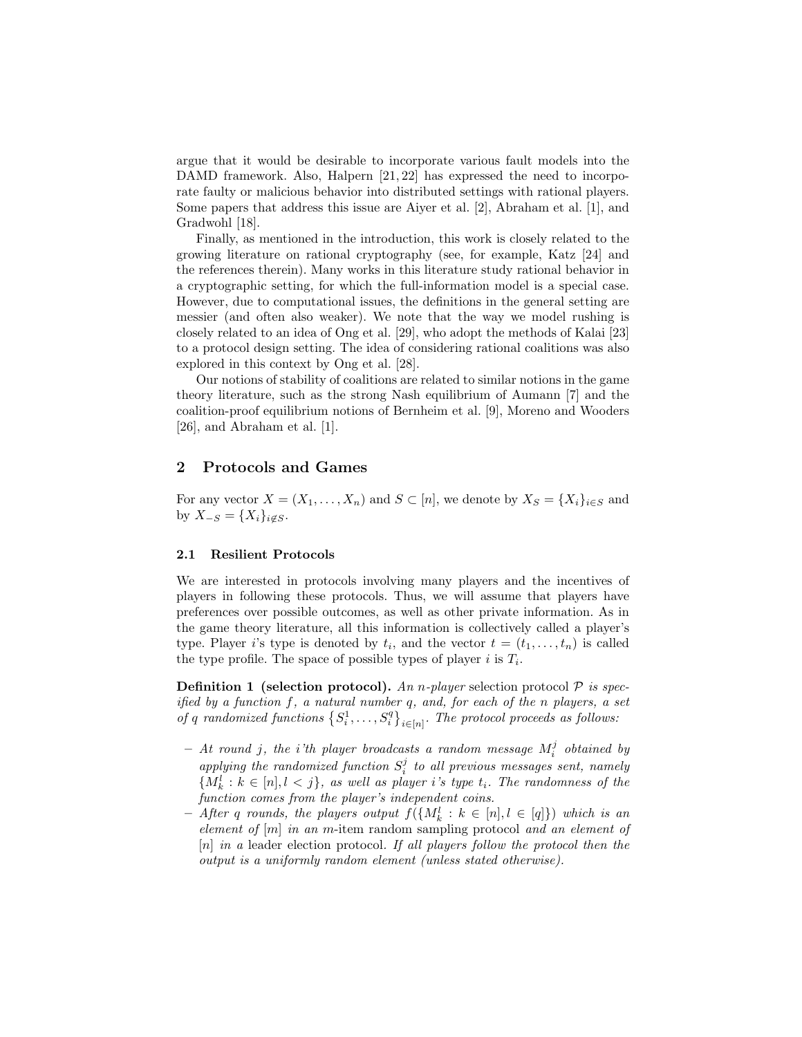argue that it would be desirable to incorporate various fault models into the DAMD framework. Also, Halpern [21, 22] has expressed the need to incorporate faulty or malicious behavior into distributed settings with rational players. Some papers that address this issue are Aiyer et al. [2], Abraham et al. [1], and Gradwohl [18].

Finally, as mentioned in the introduction, this work is closely related to the growing literature on rational cryptography (see, for example, Katz [24] and the references therein). Many works in this literature study rational behavior in a cryptographic setting, for which the full-information model is a special case. However, due to computational issues, the definitions in the general setting are messier (and often also weaker). We note that the way we model rushing is closely related to an idea of Ong et al. [29], who adopt the methods of Kalai [23] to a protocol design setting. The idea of considering rational coalitions was also explored in this context by Ong et al. [28].

Our notions of stability of coalitions are related to similar notions in the game theory literature, such as the strong Nash equilibrium of Aumann [7] and the coalition-proof equilibrium notions of Bernheim et al. [9], Moreno and Wooders [26], and Abraham et al. [1].

# 2 Protocols and Games

For any vector  $X = (X_1, \ldots, X_n)$  and  $S \subset [n]$ , we denote by  $X_S = \{X_i\}_{i \in S}$  and by  $X_{-S} = \{X_i\}_{i \notin S}$ .

#### 2.1 Resilient Protocols

We are interested in protocols involving many players and the incentives of players in following these protocols. Thus, we will assume that players have preferences over possible outcomes, as well as other private information. As in the game theory literature, all this information is collectively called a player's type. Player *i*'s type is denoted by  $t_i$ , and the vector  $t = (t_1, \ldots, t_n)$  is called the type profile. The space of possible types of player  $i$  is  $T_i$ .

**Definition 1** (selection protocol). An n-player selection protocol  $P$  is specified by a function  $f$ , a natural number  $q$ , and, for each of the n players, a set of q randomized functions  $\{S_i^1, \ldots, S_i^q\}_{i \in [n]}$ . The protocol proceeds as follows:

- $-$  At round j, the i'th player broadcasts a random message  $M_i^j$  obtained by applying the randomized function  $S_i^j$  to all previous messages sent, namely  ${M_k^l : k \in [n], l < j}$ , as well as player i's type  $t_i$ . The randomness of the function comes from the player's independent coins.
- $-$  After q rounds, the players output  $f(\lbrace M_k^l : k \in [n], l \in [q] \rbrace)$  which is an element of  $[m]$  in an m-item random sampling protocol and an element of [n] in a leader election protocol. If all players follow the protocol then the output is a uniformly random element (unless stated otherwise).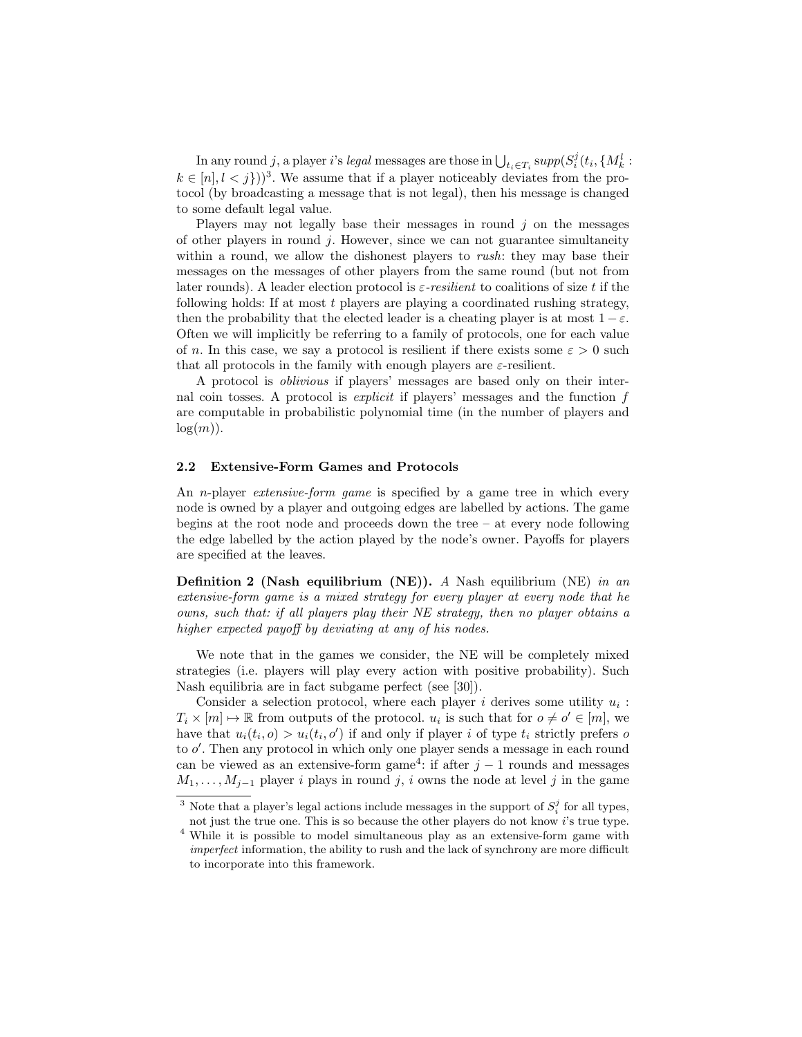In any round j, a player i's legal messages are those in  $\bigcup_{t_i \in T_i} supp(S_i^j(t_i, \{M_k^l:$  $k \in [n], l \lt j$ ))<sup>3</sup>. We assume that if a player noticeably deviates from the protocol (by broadcasting a message that is not legal), then his message is changed to some default legal value.

Players may not legally base their messages in round  $j$  on the messages of other players in round  $j$ . However, since we can not guarantee simultaneity within a round, we allow the dishonest players to *rush*: they may base their messages on the messages of other players from the same round (but not from later rounds). A leader election protocol is  $\varepsilon$ -resilient to coalitions of size t if the following holds: If at most  $t$  players are playing a coordinated rushing strategy, then the probability that the elected leader is a cheating player is at most  $1 - \varepsilon$ . Often we will implicitly be referring to a family of protocols, one for each value of n. In this case, we say a protocol is resilient if there exists some  $\varepsilon > 0$  such that all protocols in the family with enough players are  $\varepsilon$ -resilient.

A protocol is oblivious if players' messages are based only on their internal coin tosses. A protocol is explicit if players' messages and the function f are computable in probabilistic polynomial time (in the number of players and  $log(m)$ ).

### 2.2 Extensive-Form Games and Protocols

An *n*-player *extensive-form game* is specified by a game tree in which every node is owned by a player and outgoing edges are labelled by actions. The game begins at the root node and proceeds down the tree – at every node following the edge labelled by the action played by the node's owner. Payoffs for players are specified at the leaves.

**Definition 2 (Nash equilibrium (NE)).** A Nash equilibrium (NE) in an extensive-form game is a mixed strategy for every player at every node that he owns, such that: if all players play their NE strategy, then no player obtains a higher expected payoff by deviating at any of his nodes.

We note that in the games we consider, the NE will be completely mixed strategies (i.e. players will play every action with positive probability). Such Nash equilibria are in fact subgame perfect (see [30]).

Consider a selection protocol, where each player  $i$  derives some utility  $u_i$ :  $T_i \times [m] \mapsto \mathbb{R}$  from outputs of the protocol.  $u_i$  is such that for  $o \neq o' \in [m]$ , we have that  $u_i(t_i, o) > u_i(t_i, o')$  if and only if player i of type  $t_i$  strictly prefers o to  $o'$ . Then any protocol in which only one player sends a message in each round can be viewed as an extensive-form game<sup>4</sup>: if after  $j-1$  rounds and messages  $M_1, \ldots, M_{i-1}$  player i plays in round j, i owns the node at level j in the game

<sup>&</sup>lt;sup>3</sup> Note that a player's legal actions include messages in the support of  $S_i^j$  for all types, not just the true one. This is so because the other players do not know i's true type.

<sup>4</sup> While it is possible to model simultaneous play as an extensive-form game with imperfect information, the ability to rush and the lack of synchrony are more difficult to incorporate into this framework.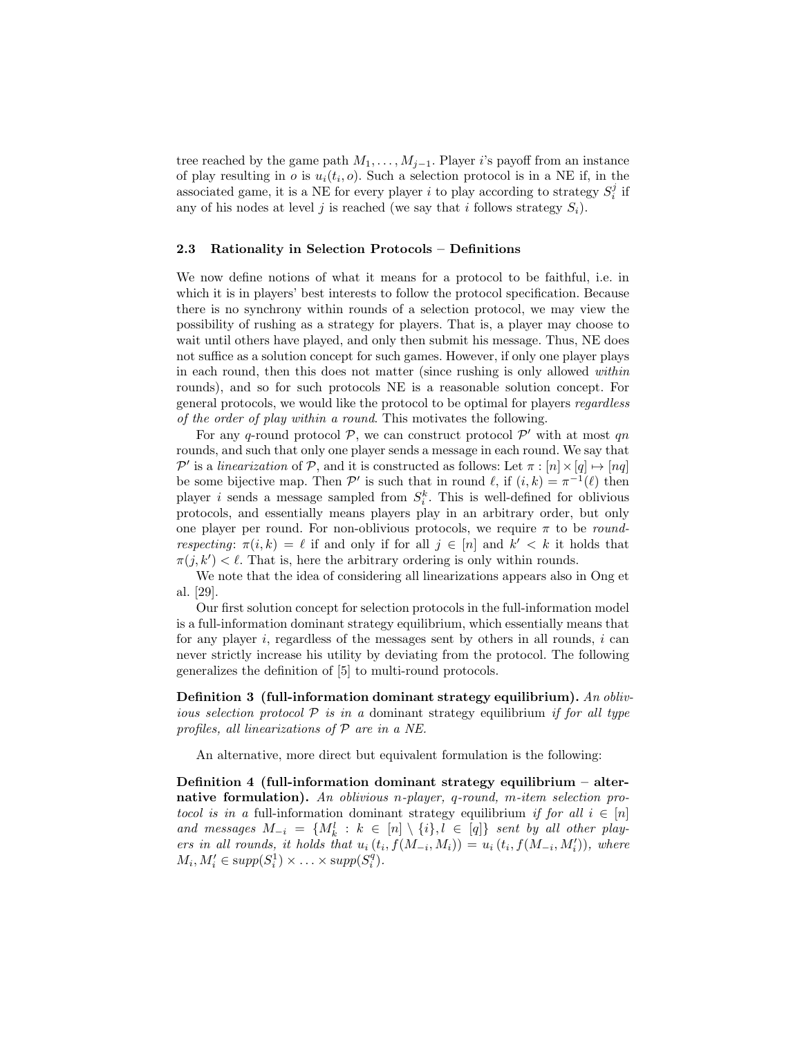tree reached by the game path  $M_1, \ldots, M_{i-1}$ . Player i's payoff from an instance of play resulting in *o* is  $u_i(t_i, o)$ . Such a selection protocol is in a NE if, in the associated game, it is a NE for every player *i* to play according to strategy  $S_i^j$  if any of his nodes at level j is reached (we say that i follows strategy  $S_i$ ).

#### 2.3 Rationality in Selection Protocols – Definitions

We now define notions of what it means for a protocol to be faithful, i.e. in which it is in players' best interests to follow the protocol specification. Because there is no synchrony within rounds of a selection protocol, we may view the possibility of rushing as a strategy for players. That is, a player may choose to wait until others have played, and only then submit his message. Thus, NE does not suffice as a solution concept for such games. However, if only one player plays in each round, then this does not matter (since rushing is only allowed within rounds), and so for such protocols NE is a reasonable solution concept. For general protocols, we would like the protocol to be optimal for players regardless of the order of play within a round. This motivates the following.

For any q-round protocol  $P$ , we can construct protocol  $P'$  with at most qn rounds, and such that only one player sends a message in each round. We say that P' is a linearization of P, and it is constructed as follows: Let  $\pi : [n] \times [q] \mapsto [nq]$ be some bijective map. Then  $\mathcal{P}'$  is such that in round  $\ell$ , if  $(i, k) = \pi^{-1}(\ell)$  then player *i* sends a message sampled from  $S_i^k$ . This is well-defined for oblivious protocols, and essentially means players play in an arbitrary order, but only one player per round. For non-oblivious protocols, we require  $\pi$  to be *round*respecting:  $\pi(i,k) = \ell$  if and only if for all  $j \in [n]$  and  $k' < k$  it holds that  $\pi(j, k') < \ell$ . That is, here the arbitrary ordering is only within rounds.

We note that the idea of considering all linearizations appears also in Ong et al. [29].

Our first solution concept for selection protocols in the full-information model is a full-information dominant strategy equilibrium, which essentially means that for any player i, regardless of the messages sent by others in all rounds, i can never strictly increase his utility by deviating from the protocol. The following generalizes the definition of [5] to multi-round protocols.

Definition 3 (full-information dominant strategy equilibrium). An oblivious selection protocol  $P$  is in a dominant strategy equilibrium if for all type profiles, all linearizations of P are in a NE.

An alternative, more direct but equivalent formulation is the following:

Definition 4 (full-information dominant strategy equilibrium  $-$  alternative formulation). An oblivious n-player, q-round, m-item selection protocol is in a full-information dominant strategy equilibrium if for all  $i \in [n]$ and messages  $M_{-i} = \{M_k^l : k \in [n] \setminus \{i\}, l \in [q]\}$  sent by all other players in all rounds, it holds that  $u_i(t_i, f(M_{-i}, M_i)) = u_i(t_i, f(M_{-i}, M'_i)),$  where  $M_i, M'_i \in \text{supp}(S_i^1) \times \ldots \times \text{supp}(S_i^q).$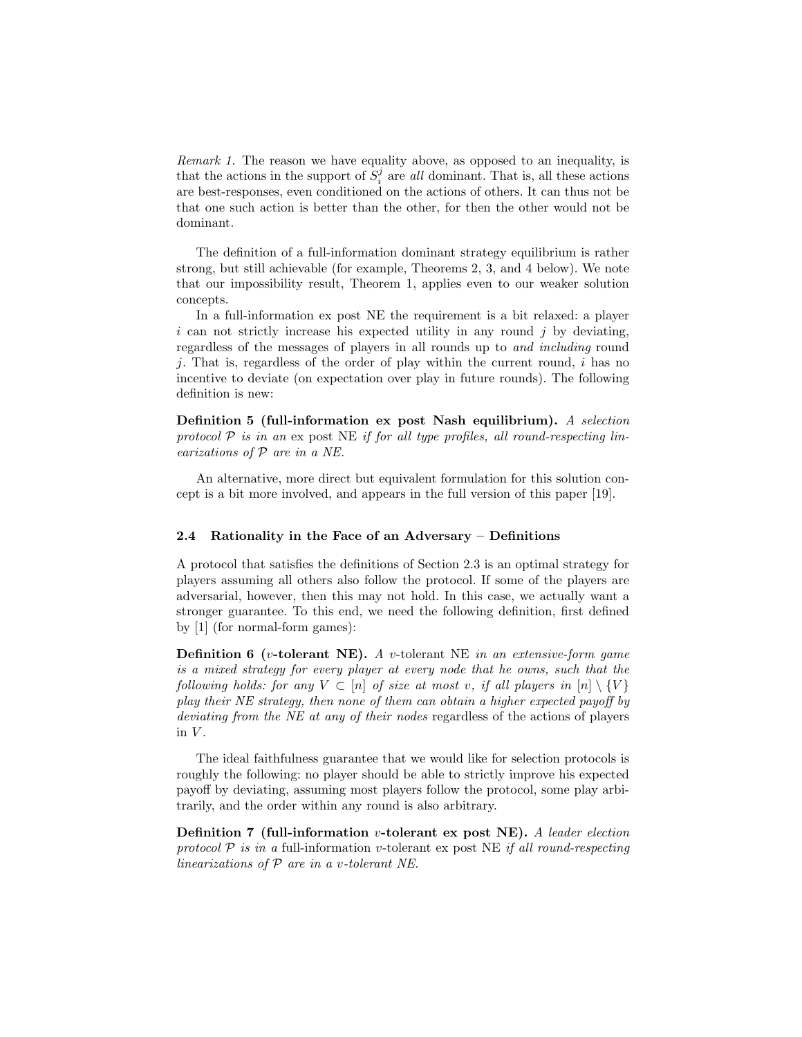Remark 1. The reason we have equality above, as opposed to an inequality, is that the actions in the support of  $S_i^j$  are all dominant. That is, all these actions are best-responses, even conditioned on the actions of others. It can thus not be that one such action is better than the other, for then the other would not be dominant.

The definition of a full-information dominant strategy equilibrium is rather strong, but still achievable (for example, Theorems 2, 3, and 4 below). We note that our impossibility result, Theorem 1, applies even to our weaker solution concepts.

In a full-information ex post NE the requirement is a bit relaxed: a player  $i$  can not strictly increase his expected utility in any round  $j$  by deviating, regardless of the messages of players in all rounds up to and including round j. That is, regardless of the order of play within the current round, i has no incentive to deviate (on expectation over play in future rounds). The following definition is new:

Definition 5 (full-information ex post Nash equilibrium). A selection protocol  $P$  is in an ex post NE if for all type profiles, all round-respecting linearizations of P are in a NE.

An alternative, more direct but equivalent formulation for this solution concept is a bit more involved, and appears in the full version of this paper [19].

### 2.4 Rationality in the Face of an Adversary – Definitions

A protocol that satisfies the definitions of Section 2.3 is an optimal strategy for players assuming all others also follow the protocol. If some of the players are adversarial, however, then this may not hold. In this case, we actually want a stronger guarantee. To this end, we need the following definition, first defined by [1] (for normal-form games):

**Definition 6 (v-tolerant NE).** A v-tolerant NE in an extensive-form game is a mixed strategy for every player at every node that he owns, such that the following holds: for any  $V \subset [n]$  of size at most v, if all players in  $[n] \setminus \{V\}$ play their NE strategy, then none of them can obtain a higher expected payoff by deviating from the NE at any of their nodes regardless of the actions of players in  $V$ .

The ideal faithfulness guarantee that we would like for selection protocols is roughly the following: no player should be able to strictly improve his expected payoff by deviating, assuming most players follow the protocol, some play arbitrarily, and the order within any round is also arbitrary.

**Definition 7** (full-information v-tolerant ex post NE). A leader election protocol  $P$  is in a full-information v-tolerant ex post NE if all round-respecting linearizations of P are in a v-tolerant NE.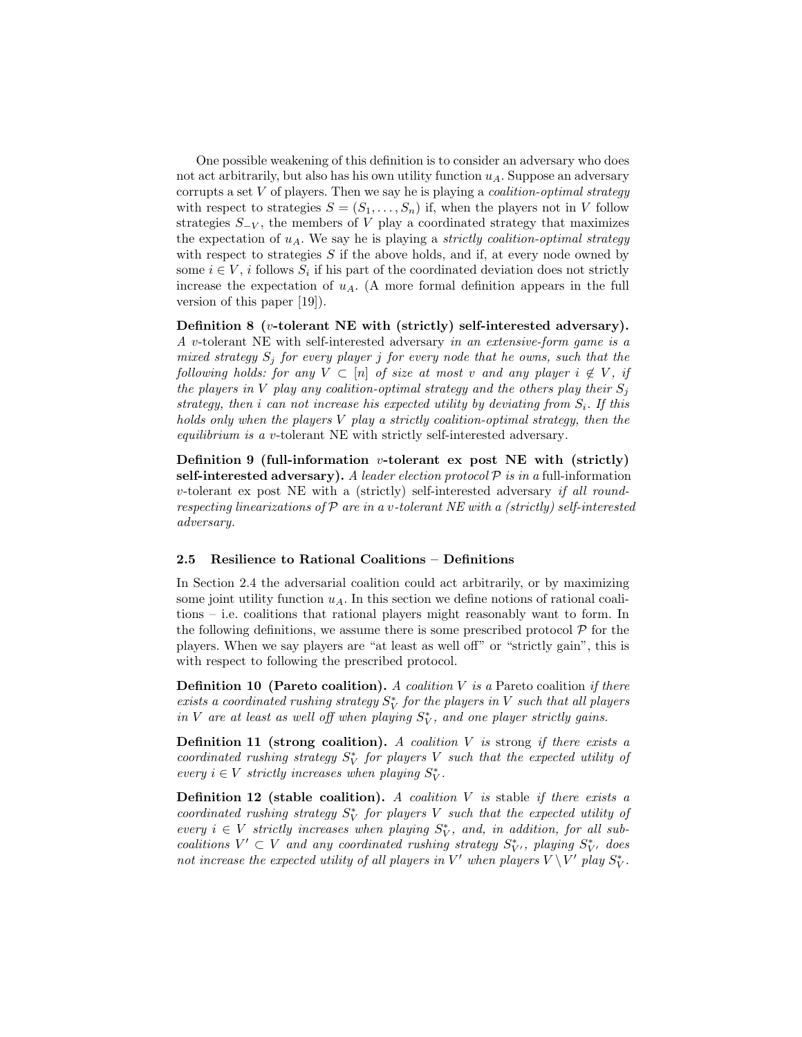One possible weakening of this definition is to consider an adversary who does not act arbitrarily, but also has his own utility function  $u_A$ . Suppose an adversary corrupts a set  $V$  of players. Then we say he is playing a *coalition-optimal strategy* with respect to strategies  $S = (S_1, \ldots, S_n)$  if, when the players not in V follow strategies  $S_{-V}$ , the members of V play a coordinated strategy that maximizes the expectation of  $u_A$ . We say he is playing a *strictly coalition-optimal strategy* with respect to strategies  $S$  if the above holds, and if, at every node owned by some  $i \in V$ , i follows  $S_i$  if his part of the coordinated deviation does not strictly increase the expectation of  $u_A$ . (A more formal definition appears in the full version of this paper [19]).

Definition 8 (*v*-tolerant NE with (strictly) self-interested adversary). A v-tolerant NE with self-interested adversary in an extensive-form game is a mixed strategy  $S_i$  for every player j for every node that he owns, such that the following holds: for any  $V \subset [n]$  of size at most v and any player  $i \notin V$ , if the players in V play any coalition-optimal strategy and the others play their  $S_j$ strategy, then i can not increase his expected utility by deviating from  $S_i$ . If this holds only when the players  $V$  play a strictly coalition-optimal strategy, then the equilibrium is a v-tolerant NE with strictly self-interested adversary.

Definition 9 (full-information v-tolerant ex post NE with (strictly) self-interested adversary). A leader election protocol  $P$  is in a full-information  $v$ -tolerant ex post NE with a (strictly) self-interested adversary if all roundrespecting linearizations of  $\mathcal P$  are in a v-tolerant NE with a (strictly) self-interested adversary.

#### 2.5 Resilience to Rational Coalitions – Definitions

In Section 2.4 the adversarial coalition could act arbitrarily, or by maximizing some joint utility function  $u_A$ . In this section we define notions of rational coalitions – i.e. coalitions that rational players might reasonably want to form. In the following definitions, we assume there is some prescribed protocol  $\mathcal P$  for the players. When we say players are "at least as well off" or "strictly gain", this is with respect to following the prescribed protocol.

**Definition 10 (Pareto coalition).** A coalition  $V$  is a Pareto coalition if there exists a coordinated rushing strategy  $S_V^*$  for the players in V such that all players in V are at least as well off when playing  $S_V^*$ , and one player strictly gains.

**Definition 11 (strong coalition).** A coalition  $V$  is strong if there exists a coordinated rushing strategy  $S_V^*$  for players V such that the expected utility of every  $i \in V$  strictly increases when playing  $S_V^*$ .

**Definition 12** (stable coalition). A coalition  $V$  is stable if there exists a coordinated rushing strategy  $S_V^*$  for players V such that the expected utility of every  $i \in V$  strictly increases when playing  $S_V^*$ , and, in addition, for all subcoalitions  $V' \subset V$  and any coordinated rushing strategy  $S_{V'}^*$ , playing  $S_{V'}^*$  does not increase the expected utility of all players in  $V'$  when players  $V \setminus V'$  play  $S_V^*$ .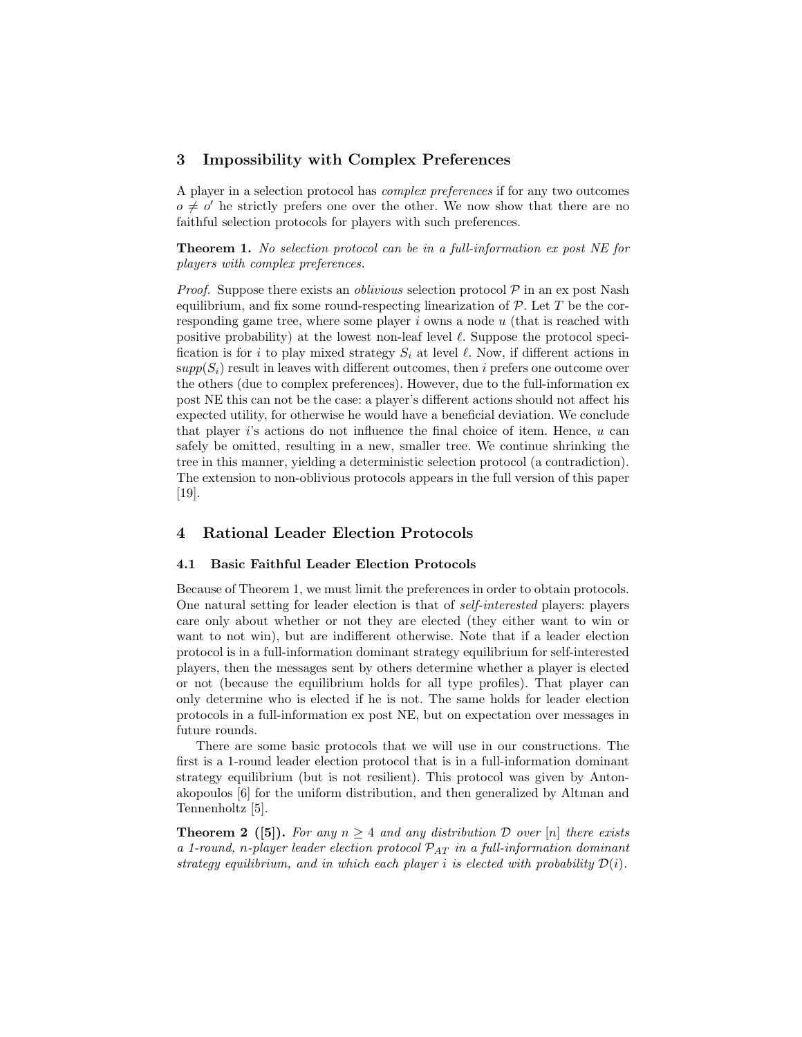# 3 Impossibility with Complex Preferences

A player in a selection protocol has complex preferences if for any two outcomes  $o \neq o'$  he strictly prefers one over the other. We now show that there are no faithful selection protocols for players with such preferences.

Theorem 1. No selection protocol can be in a full-information ex post NE for players with complex preferences.

*Proof.* Suppose there exists an *oblivious* selection protocol  $P$  in an ex post Nash equilibrium, and fix some round-respecting linearization of  $P$ . Let  $T$  be the corresponding game tree, where some player  $i$  owns a node  $u$  (that is reached with positive probability) at the lowest non-leaf level  $\ell$ . Suppose the protocol specification is for i to play mixed strategy  $S_i$  at level  $\ell$ . Now, if different actions in  $supp(S_i)$  result in leaves with different outcomes, then i prefers one outcome over the others (due to complex preferences). However, due to the full-information ex post NE this can not be the case: a player's different actions should not affect his expected utility, for otherwise he would have a beneficial deviation. We conclude that player  $i$ 's actions do not influence the final choice of item. Hence,  $u$  can safely be omitted, resulting in a new, smaller tree. We continue shrinking the tree in this manner, yielding a deterministic selection protocol (a contradiction). The extension to non-oblivious protocols appears in the full version of this paper [19].

# 4 Rational Leader Election Protocols

#### 4.1 Basic Faithful Leader Election Protocols

Because of Theorem 1, we must limit the preferences in order to obtain protocols. One natural setting for leader election is that of self-interested players: players care only about whether or not they are elected (they either want to win or want to not win), but are indifferent otherwise. Note that if a leader election protocol is in a full-information dominant strategy equilibrium for self-interested players, then the messages sent by others determine whether a player is elected or not (because the equilibrium holds for all type profiles). That player can only determine who is elected if he is not. The same holds for leader election protocols in a full-information ex post NE, but on expectation over messages in future rounds.

There are some basic protocols that we will use in our constructions. The first is a 1-round leader election protocol that is in a full-information dominant strategy equilibrium (but is not resilient). This protocol was given by Antonakopoulos [6] for the uniform distribution, and then generalized by Altman and Tennenholtz [5].

**Theorem 2** ([5]). For any  $n \geq 4$  and any distribution D over [n] there exists a 1-round, n-player leader election protocol  $\mathcal{P}_{AT}$  in a full-information dominant strategy equilibrium, and in which each player i is elected with probability  $\mathcal{D}(i)$ .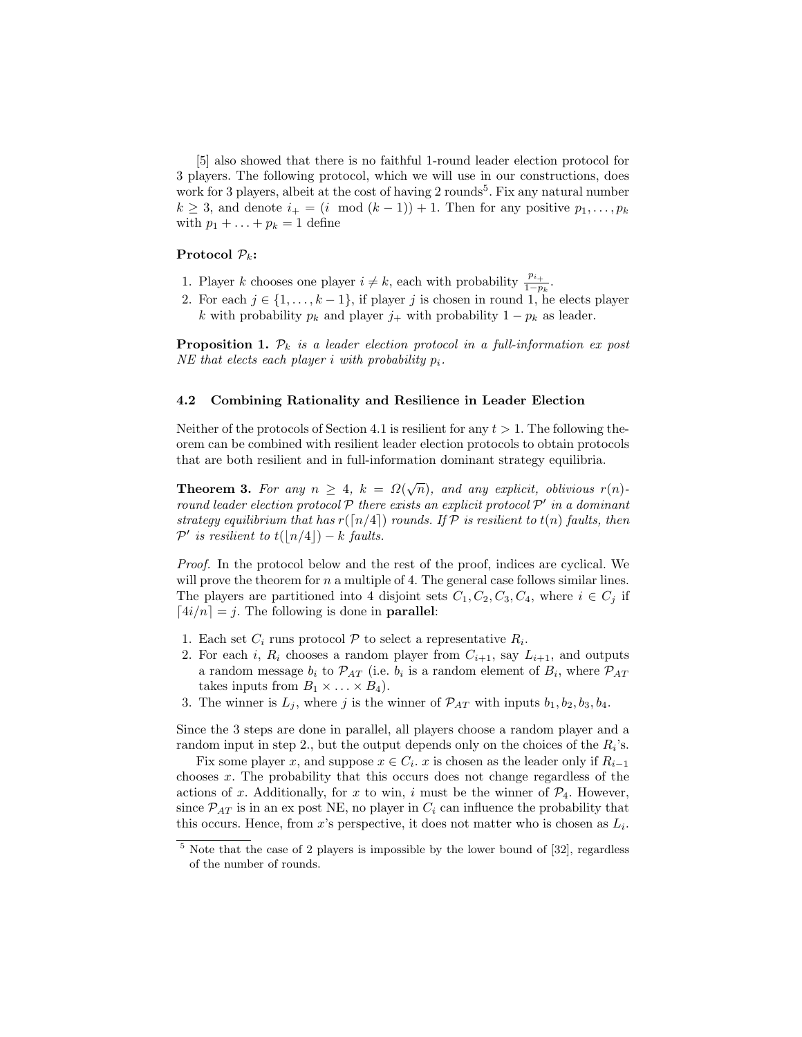[5] also showed that there is no faithful 1-round leader election protocol for 3 players. The following protocol, which we will use in our constructions, does work for 3 players, albeit at the cost of having 2 rounds<sup>5</sup>. Fix any natural number  $k \geq 3$ , and denote  $i_{+} = (i \mod (k-1)) + 1$ . Then for any positive  $p_1, \ldots, p_k$ with  $p_1 + \ldots + p_k = 1$  define

### Protocol  $P_k$ :

- 1. Player k chooses one player  $i \neq k$ , each with probability  $\frac{p_{i+}}{1-p_k}$ .
- 2. For each  $j \in \{1, \ldots, k-1\}$ , if player j is chosen in round 1, he elects player k with probability  $p_k$  and player  $j_+$  with probability  $1 - p_k$  as leader.

**Proposition 1.**  $\mathcal{P}_k$  is a leader election protocol in a full-information ex post NE that elects each player i with probability  $p_i$ .

#### 4.2 Combining Rationality and Resilience in Leader Election

Neither of the protocols of Section 4.1 is resilient for any  $t > 1$ . The following theorem can be combined with resilient leader election protocols to obtain protocols that are both resilient and in full-information dominant strategy equilibria.

**Theorem 3.** For any  $n \geq 4$ ,  $k = \Omega(\sqrt{n})$ , and any explicit, oblivious  $r(n)$ . round leader election protocol  $P$  there exists an explicit protocol  $P'$  in a dominant strategy equilibrium that has  $r(\lceil n/4\rceil)$  rounds. If P is resilient to  $t(n)$  faults, then  $\mathcal{P}'$  is resilient to  $t(|n/4|) - k$  faults.

Proof. In the protocol below and the rest of the proof, indices are cyclical. We will prove the theorem for  $n$  a multiple of 4. The general case follows similar lines. The players are partitioned into 4 disjoint sets  $C_1, C_2, C_3, C_4$ , where  $i \in C_j$  if  $[4i/n] = j$ . The following is done in **parallel**:

- 1. Each set  $C_i$  runs protocol  $P$  to select a representative  $R_i$ .
- 2. For each i,  $R_i$  chooses a random player from  $C_{i+1}$ , say  $L_{i+1}$ , and outputs a random message  $b_i$  to  $\mathcal{P}_{AT}$  (i.e.  $b_i$  is a random element of  $B_i$ , where  $\mathcal{P}_{AT}$ takes inputs from  $B_1 \times \ldots \times B_4$ .
- 3. The winner is  $L_j$ , where j is the winner of  $\mathcal{P}_{AT}$  with inputs  $b_1, b_2, b_3, b_4$ .

Since the 3 steps are done in parallel, all players choose a random player and a random input in step 2., but the output depends only on the choices of the  $R_i$ 's.

Fix some player x, and suppose  $x \in C_i$ . x is chosen as the leader only if  $R_{i-1}$ chooses  $x$ . The probability that this occurs does not change regardless of the actions of x. Additionally, for x to win, i must be the winner of  $\mathcal{P}_4$ . However, since  $\mathcal{P}_{AT}$  is in an ex post NE, no player in  $C_i$  can influence the probability that this occurs. Hence, from x's perspective, it does not matter who is chosen as  $L_i$ .

 $5$  Note that the case of 2 players is impossible by the lower bound of [32], regardless of the number of rounds.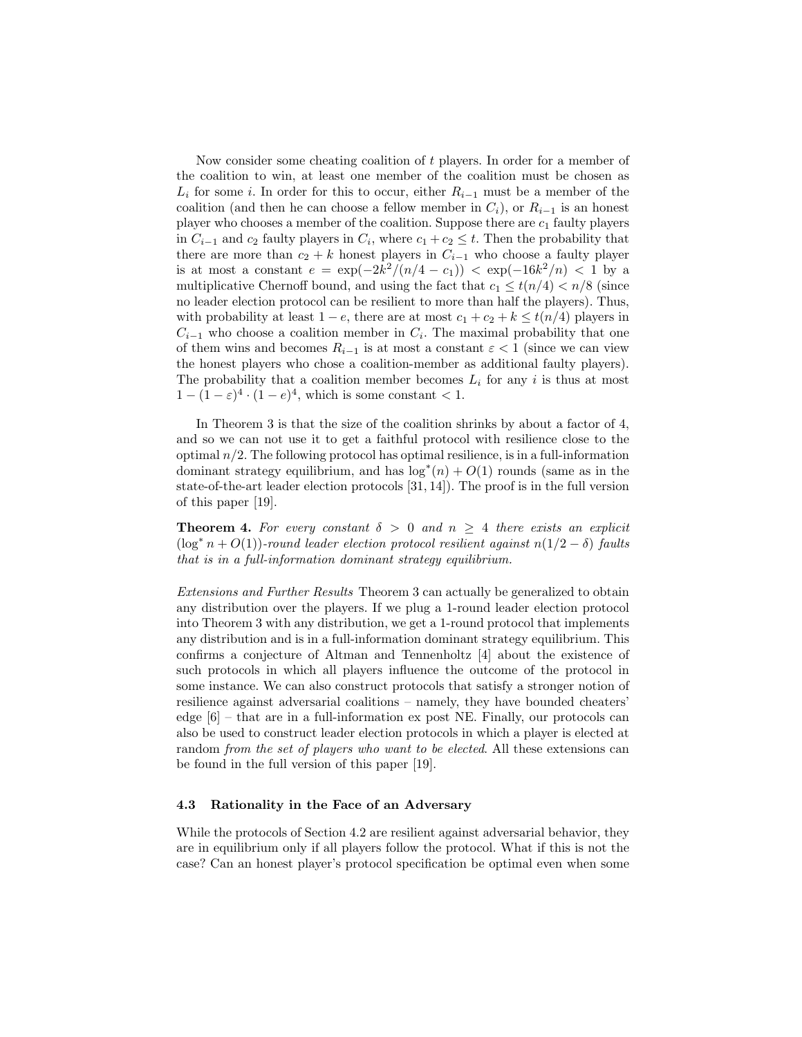Now consider some cheating coalition of t players. In order for a member of the coalition to win, at least one member of the coalition must be chosen as  $L_i$  for some i. In order for this to occur, either  $R_{i-1}$  must be a member of the coalition (and then he can choose a fellow member in  $C_i$ ), or  $R_{i-1}$  is an honest player who chooses a member of the coalition. Suppose there are  $c_1$  faulty players in  $C_{i-1}$  and  $c_2$  faulty players in  $C_i$ , where  $c_1 + c_2 \leq t$ . Then the probability that there are more than  $c_2 + k$  honest players in  $C_{i-1}$  who choose a faulty player is at most a constant  $e = \exp(-2k^2/(n/4 - c_1)) < \exp(-16k^2/n) < 1$  by a multiplicative Chernoff bound, and using the fact that  $c_1 \le t(n/4) < n/8$  (since no leader election protocol can be resilient to more than half the players). Thus, with probability at least  $1 - e$ , there are at most  $c_1 + c_2 + k \leq t(n/4)$  players in  $C_{i-1}$  who choose a coalition member in  $C_i$ . The maximal probability that one of them wins and becomes  $R_{i-1}$  is at most a constant  $\varepsilon < 1$  (since we can view the honest players who chose a coalition-member as additional faulty players). The probability that a coalition member becomes  $L_i$  for any i is thus at most  $1 - (1 - \varepsilon)^4 \cdot (1 - e)^4$ , which is some constant < 1.

In Theorem 3 is that the size of the coalition shrinks by about a factor of 4, and so we can not use it to get a faithful protocol with resilience close to the optimal  $n/2$ . The following protocol has optimal resilience, is in a full-information dominant strategy equilibrium, and has  $\log^*(n) + O(1)$  rounds (same as in the state-of-the-art leader election protocols [31, 14]). The proof is in the full version of this paper [19].

**Theorem 4.** For every constant  $\delta > 0$  and  $n \geq 4$  there exists an explicit  $(\log^* n + O(1))$ -round leader election protocol resilient against  $n(1/2 - \delta)$  faults that is in a full-information dominant strategy equilibrium.

Extensions and Further Results Theorem 3 can actually be generalized to obtain any distribution over the players. If we plug a 1-round leader election protocol into Theorem 3 with any distribution, we get a 1-round protocol that implements any distribution and is in a full-information dominant strategy equilibrium. This confirms a conjecture of Altman and Tennenholtz [4] about the existence of such protocols in which all players influence the outcome of the protocol in some instance. We can also construct protocols that satisfy a stronger notion of resilience against adversarial coalitions – namely, they have bounded cheaters' edge  $[6]$  – that are in a full-information ex post NE. Finally, our protocols can also be used to construct leader election protocols in which a player is elected at random from the set of players who want to be elected. All these extensions can be found in the full version of this paper [19].

### 4.3 Rationality in the Face of an Adversary

While the protocols of Section 4.2 are resilient against adversarial behavior, they are in equilibrium only if all players follow the protocol. What if this is not the case? Can an honest player's protocol specification be optimal even when some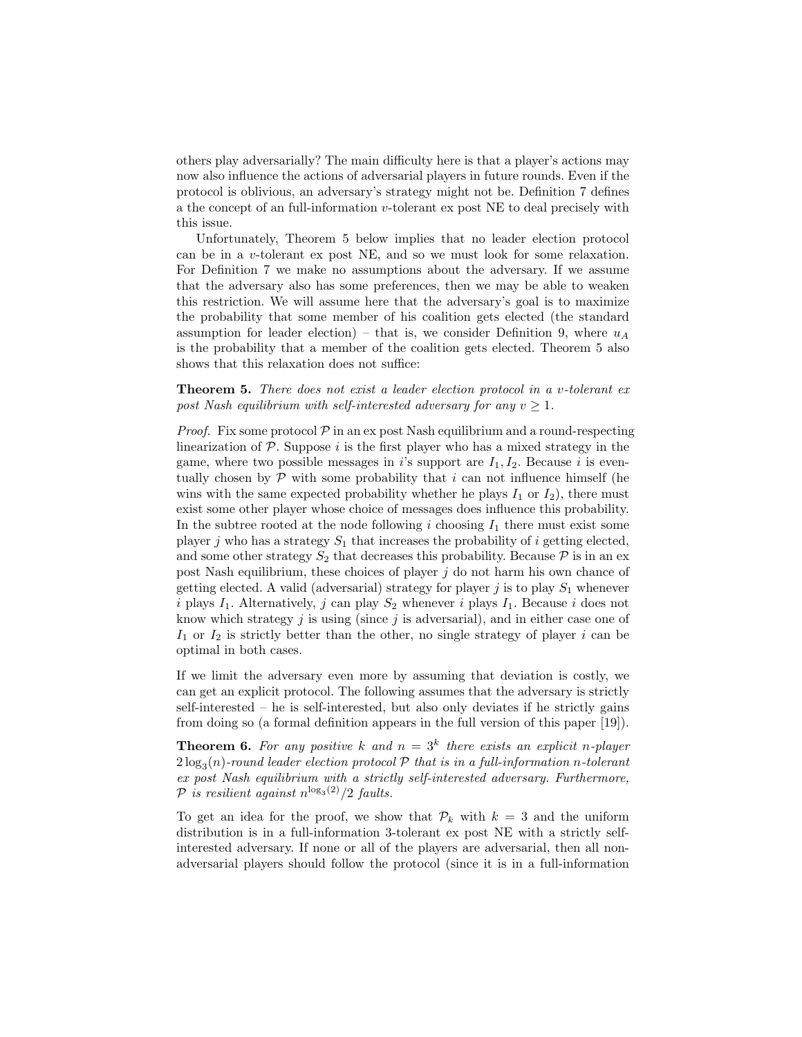others play adversarially? The main difficulty here is that a player's actions may now also influence the actions of adversarial players in future rounds. Even if the protocol is oblivious, an adversary's strategy might not be. Definition 7 defines a the concept of an full-information  $v$ -tolerant ex post NE to deal precisely with this issue.

Unfortunately, Theorem 5 below implies that no leader election protocol can be in a v-tolerant ex post NE, and so we must look for some relaxation. For Definition 7 we make no assumptions about the adversary. If we assume that the adversary also has some preferences, then we may be able to weaken this restriction. We will assume here that the adversary's goal is to maximize the probability that some member of his coalition gets elected (the standard assumption for leader election) – that is, we consider Definition 9, where  $u_A$ is the probability that a member of the coalition gets elected. Theorem 5 also shows that this relaxation does not suffice:

### Theorem 5. There does not exist a leader election protocol in a v-tolerant ex post Nash equilibrium with self-interested adversary for any  $v > 1$ .

*Proof.* Fix some protocol  $P$  in an ex post Nash equilibrium and a round-respecting linearization of  $P$ . Suppose i is the first player who has a mixed strategy in the game, where two possible messages in i's support are  $I_1, I_2$ . Because i is eventually chosen by  $P$  with some probability that i can not influence himself (he wins with the same expected probability whether he plays  $I_1$  or  $I_2$ ), there must exist some other player whose choice of messages does influence this probability. In the subtree rooted at the node following  $i$  choosing  $I_1$  there must exist some player j who has a strategy  $S_1$  that increases the probability of i getting elected, and some other strategy  $S_2$  that decreases this probability. Because  $P$  is in an ex post Nash equilibrium, these choices of player j do not harm his own chance of getting elected. A valid (adversarial) strategy for player j is to play  $S_1$  whenever i plays  $I_1$ . Alternatively, j can play  $S_2$  whenever i plays  $I_1$ . Because i does not know which strategy  $j$  is using (since  $j$  is adversarial), and in either case one of  $I_1$  or  $I_2$  is strictly better than the other, no single strategy of player i can be optimal in both cases.

If we limit the adversary even more by assuming that deviation is costly, we can get an explicit protocol. The following assumes that the adversary is strictly self-interested – he is self-interested, but also only deviates if he strictly gains from doing so (a formal definition appears in the full version of this paper [19]).

**Theorem 6.** For any positive k and  $n = 3<sup>k</sup>$  there exists an explicit n-player  $2\log_3(n)$ -round leader election protocol  ${\mathcal{P}}$  that is in a full-information n-tolerant ex post Nash equilibrium with a strictly self-interested adversary. Furthermore,  $P$  is resilient against  $n^{\log_3(2)}/2$  faults.

To get an idea for the proof, we show that  $\mathcal{P}_k$  with  $k = 3$  and the uniform distribution is in a full-information 3-tolerant ex post NE with a strictly selfinterested adversary. If none or all of the players are adversarial, then all nonadversarial players should follow the protocol (since it is in a full-information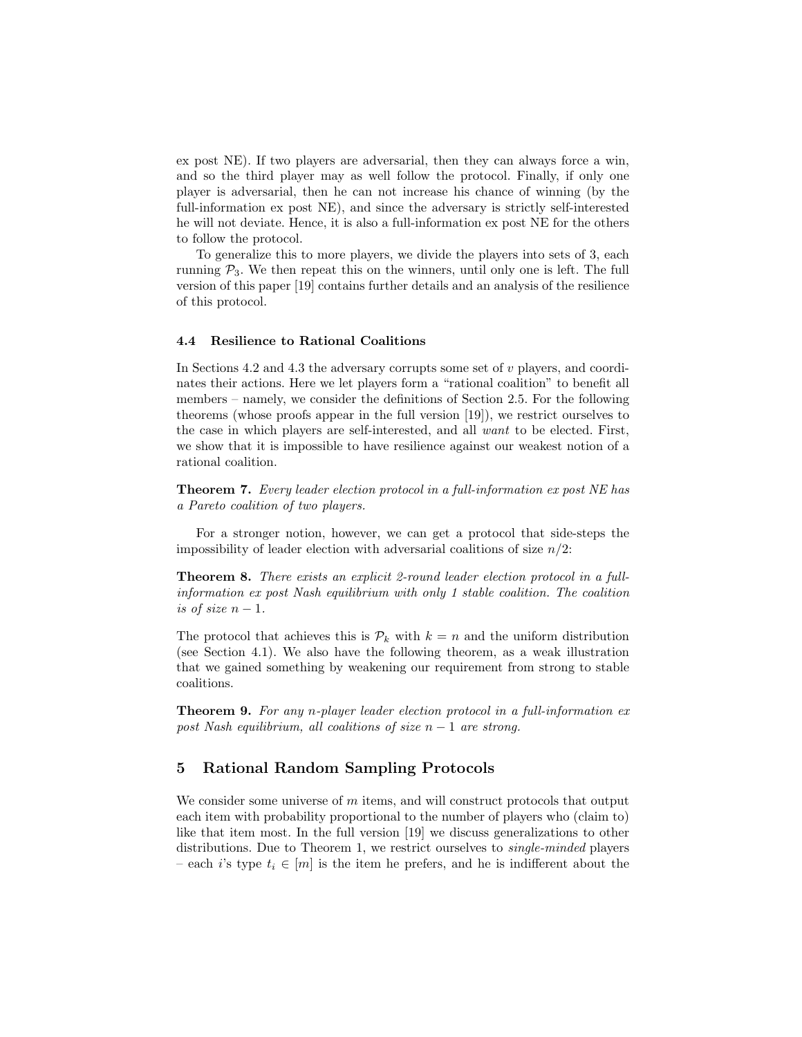ex post NE). If two players are adversarial, then they can always force a win, and so the third player may as well follow the protocol. Finally, if only one player is adversarial, then he can not increase his chance of winning (by the full-information ex post NE), and since the adversary is strictly self-interested he will not deviate. Hence, it is also a full-information ex post NE for the others to follow the protocol.

To generalize this to more players, we divide the players into sets of 3, each running  $P_3$ . We then repeat this on the winners, until only one is left. The full version of this paper [19] contains further details and an analysis of the resilience of this protocol.

#### 4.4 Resilience to Rational Coalitions

In Sections 4.2 and 4.3 the adversary corrupts some set of  $v$  players, and coordinates their actions. Here we let players form a "rational coalition" to benefit all members – namely, we consider the definitions of Section 2.5. For the following theorems (whose proofs appear in the full version [19]), we restrict ourselves to the case in which players are self-interested, and all want to be elected. First, we show that it is impossible to have resilience against our weakest notion of a rational coalition.

Theorem 7. Every leader election protocol in a full-information ex post NE has a Pareto coalition of two players.

For a stronger notion, however, we can get a protocol that side-steps the impossibility of leader election with adversarial coalitions of size  $n/2$ :

Theorem 8. There exists an explicit 2-round leader election protocol in a fullinformation ex post Nash equilibrium with only 1 stable coalition. The coalition is of size  $n-1$ .

The protocol that achieves this is  $\mathcal{P}_k$  with  $k = n$  and the uniform distribution (see Section 4.1). We also have the following theorem, as a weak illustration that we gained something by weakening our requirement from strong to stable coalitions.

**Theorem 9.** For any n-player leader election protocol in a full-information expost Nash equilibrium, all coalitions of size  $n - 1$  are strong.

# 5 Rational Random Sampling Protocols

We consider some universe of  $m$  items, and will construct protocols that output each item with probability proportional to the number of players who (claim to) like that item most. In the full version [19] we discuss generalizations to other distributions. Due to Theorem 1, we restrict ourselves to *single-minded* players – each i's type  $t_i \in [m]$  is the item he prefers, and he is indifferent about the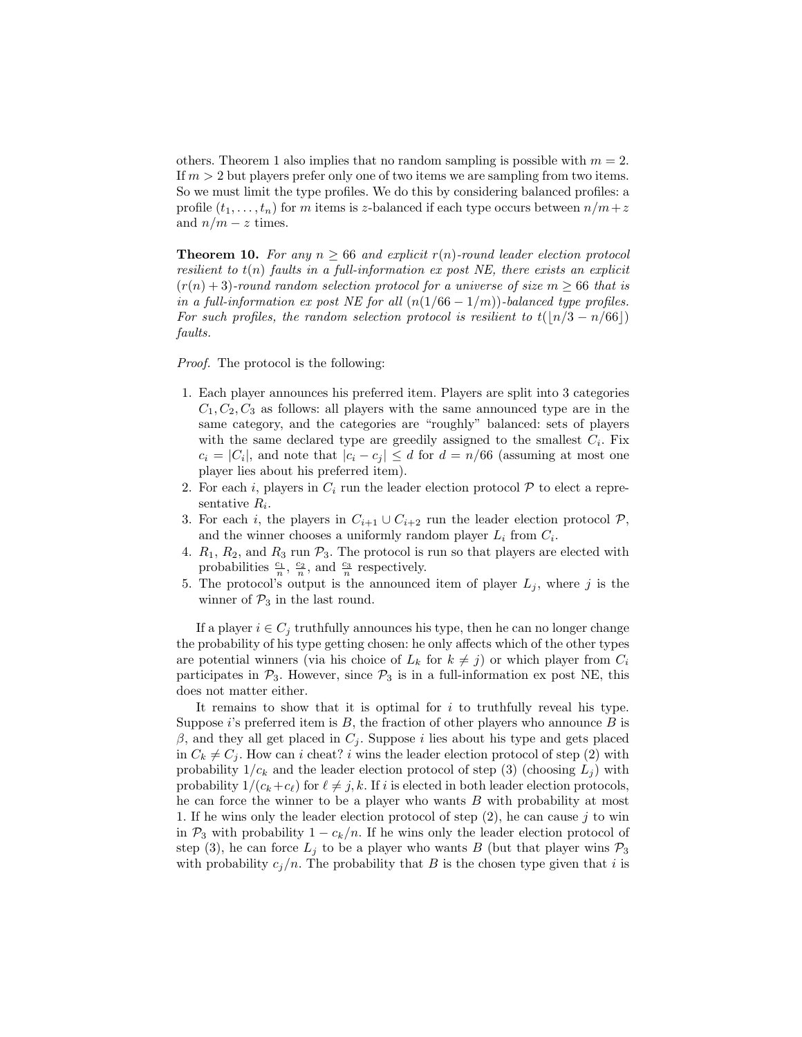others. Theorem 1 also implies that no random sampling is possible with  $m = 2$ . If  $m > 2$  but players prefer only one of two items we are sampling from two items. So we must limit the type profiles. We do this by considering balanced profiles: a profile  $(t_1, \ldots, t_n)$  for m items is z-balanced if each type occurs between  $n/m+z$ and  $n/m - z$  times.

**Theorem 10.** For any  $n \geq 66$  and explicit r(n)-round leader election protocol resilient to  $t(n)$  faults in a full-information ex post NE, there exists an explicit  $(r(n) + 3)$ -round random selection protocol for a universe of size  $m \geq 66$  that is in a full-information ex post NE for all  $(n(1/66 - 1/m))$ -balanced type profiles. For such profiles, the random selection protocol is resilient to  $t(|n/3 - n/66|)$ faults.

Proof. The protocol is the following:

- 1. Each player announces his preferred item. Players are split into 3 categories  $C_1, C_2, C_3$  as follows: all players with the same announced type are in the same category, and the categories are "roughly" balanced: sets of players with the same declared type are greedily assigned to the smallest  $C_i$ . Fix  $c_i = |C_i|$ , and note that  $|c_i - c_j| \le d$  for  $d = n/66$  (assuming at most one player lies about his preferred item).
- 2. For each i, players in  $C_i$  run the leader election protocol  $P$  to elect a representative  $R_i$ .
- 3. For each i, the players in  $C_{i+1} \cup C_{i+2}$  run the leader election protocol  $P$ , and the winner chooses a uniformly random player  $L_i$  from  $C_i$ .
- 4.  $R_1$ ,  $R_2$ , and  $R_3$  run  $\mathcal{P}_3$ . The protocol is run so that players are elected with probabilities  $\frac{c_1}{n}$ ,  $\frac{c_2}{n}$ , and  $\frac{c_3}{n}$  respectively.
- 5. The protocol's output is the announced item of player  $L_j$ , where j is the winner of  $\mathcal{P}_3$  in the last round.

If a player  $i \in C_i$  truthfully announces his type, then he can no longer change the probability of his type getting chosen: he only affects which of the other types are potential winners (via his choice of  $L_k$  for  $k \neq j$ ) or which player from  $C_i$ participates in  $\mathcal{P}_3$ . However, since  $\mathcal{P}_3$  is in a full-information ex post NE, this does not matter either.

It remains to show that it is optimal for  $i$  to truthfully reveal his type. Suppose i's preferred item is  $B$ , the fraction of other players who announce  $B$  is  $β$ , and they all get placed in  $C<sub>j</sub>$ . Suppose *i* lies about his type and gets placed in  $C_k \neq C_j$ . How can i cheat? i wins the leader election protocol of step (2) with probability  $1/c_k$  and the leader election protocol of step (3) (choosing  $L_i$ ) with probability  $1/(c_k+c_\ell)$  for  $\ell \neq j, k$ . If i is elected in both leader election protocols, he can force the winner to be a player who wants B with probability at most 1. If he wins only the leader election protocol of step  $(2)$ , he can cause j to win in  $\mathcal{P}_3$  with probability  $1 - c_k/n$ . If he wins only the leader election protocol of step (3), he can force  $L_j$  to be a player who wants B (but that player wins  $\mathcal{P}_3$ with probability  $c_j/n$ . The probability that B is the chosen type given that i is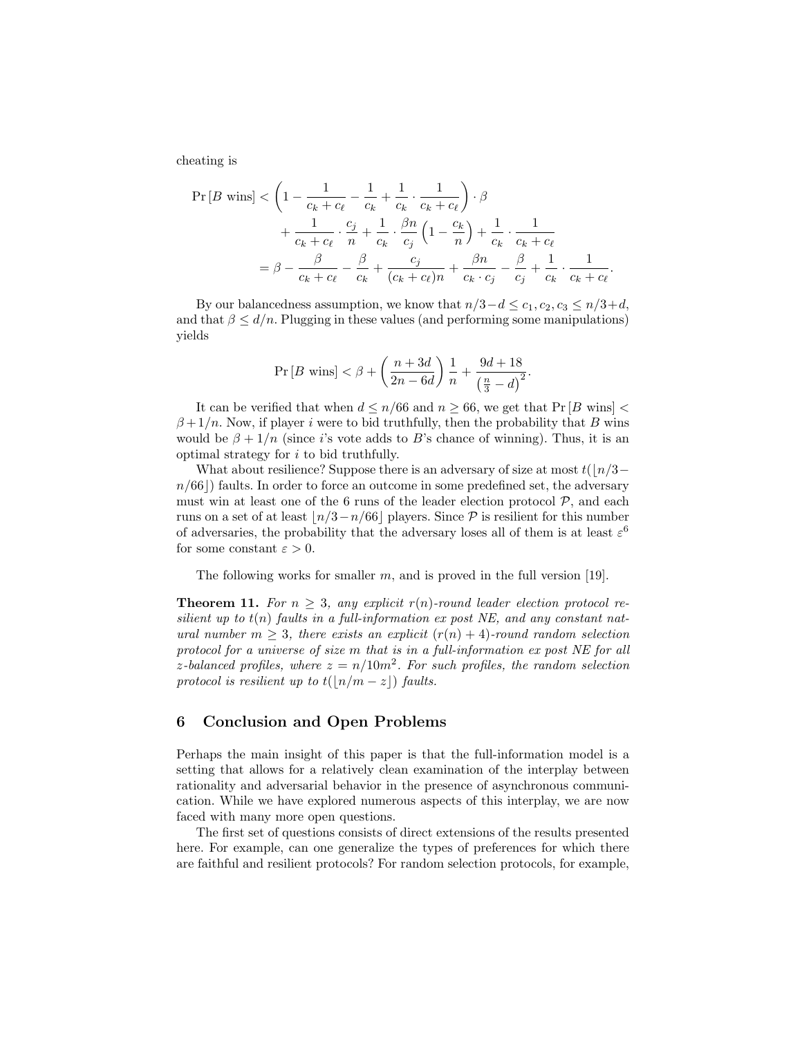cheating is

$$
\Pr[B \text{ wins}] < \left(1 - \frac{1}{c_k + c_\ell} - \frac{1}{c_k} + \frac{1}{c_k} \cdot \frac{1}{c_k + c_\ell}\right) \cdot \beta
$$
\n
$$
+ \frac{1}{c_k + c_\ell} \cdot \frac{c_j}{n} + \frac{1}{c_k} \cdot \frac{\beta n}{c_j} \left(1 - \frac{c_k}{n}\right) + \frac{1}{c_k} \cdot \frac{1}{c_k + c_\ell}
$$
\n
$$
= \beta - \frac{\beta}{c_k + c_\ell} - \frac{\beta}{c_k} + \frac{c_j}{(c_k + c_\ell)n} + \frac{\beta n}{c_k \cdot c_j} - \frac{\beta}{c_j} + \frac{1}{c_k} \cdot \frac{1}{c_k + c_\ell}
$$

.

By our balancedness assumption, we know that  $n/3-d \leq c_1, c_2, c_3 \leq n/3+d$ , and that  $\beta \leq d/n$ . Plugging in these values (and performing some manipulations) yields

$$
\Pr[B \text{ wins}] < \beta + \left(\frac{n+3d}{2n-6d}\right) \frac{1}{n} + \frac{9d+18}{\left(\frac{n}{3}-d\right)^2}.
$$

It can be verified that when  $d \leq n/66$  and  $n \geq 66$ , we get that Pr [B wins]  $\lt$  $\beta + 1/n$ . Now, if player i were to bid truthfully, then the probability that B wins would be  $\beta + 1/n$  (since i's vote adds to B's chance of winning). Thus, it is an optimal strategy for i to bid truthfully.

What about resilience? Suppose there is an adversary of size at most  $t(|n/3−$  $n/66$ ) faults. In order to force an outcome in some predefined set, the adversary must win at least one of the 6 runs of the leader election protocol  $P$ , and each runs on a set of at least  $\lfloor n/3-n/66 \rfloor$  players. Since P is resilient for this number of adversaries, the probability that the adversary loses all of them is at least  $\varepsilon^6$ for some constant  $\varepsilon > 0$ .

The following works for smaller  $m$ , and is proved in the full version [19].

**Theorem 11.** For  $n \geq 3$ , any explicit  $r(n)$ -round leader election protocol resilient up to  $t(n)$  faults in a full-information ex post NE, and any constant natural number  $m \geq 3$ , there exists an explicit  $(r(n) + 4)$ -round random selection protocol for a universe of size m that is in a full-information ex post NE for all z-balanced profiles, where  $z = n/10m^2$ . For such profiles, the random selection protocol is resilient up to  $t(|n/m - z|)$  faults.

# 6 Conclusion and Open Problems

Perhaps the main insight of this paper is that the full-information model is a setting that allows for a relatively clean examination of the interplay between rationality and adversarial behavior in the presence of asynchronous communication. While we have explored numerous aspects of this interplay, we are now faced with many more open questions.

The first set of questions consists of direct extensions of the results presented here. For example, can one generalize the types of preferences for which there are faithful and resilient protocols? For random selection protocols, for example,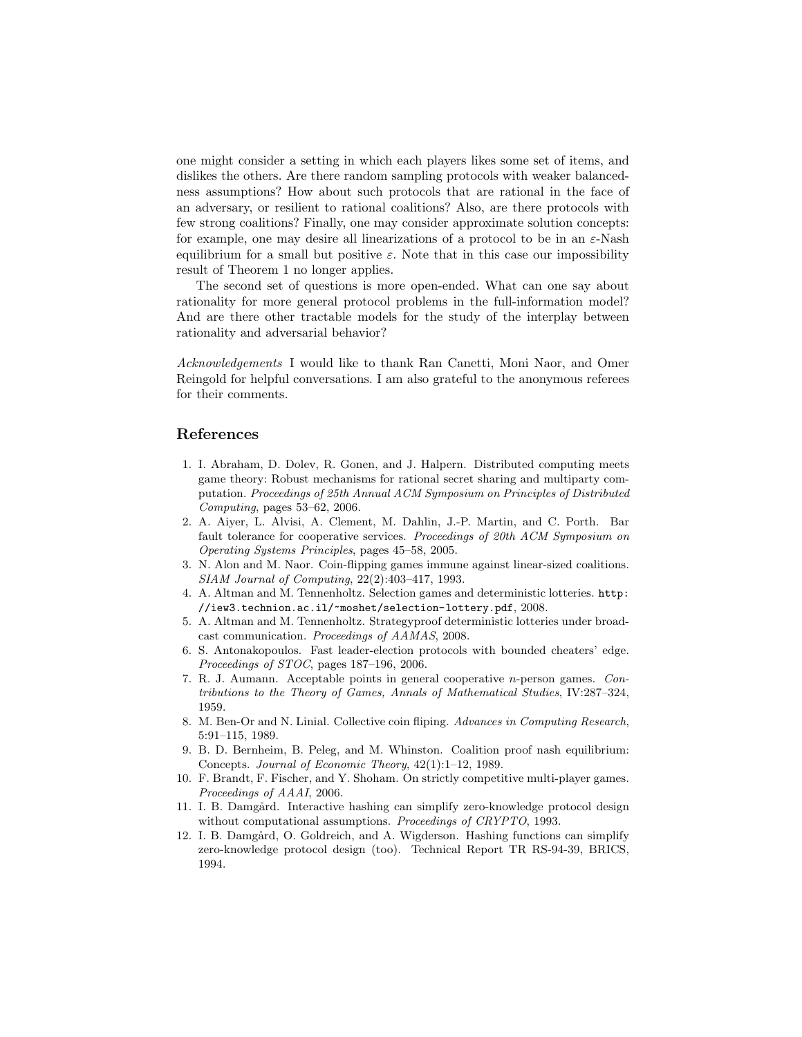one might consider a setting in which each players likes some set of items, and dislikes the others. Are there random sampling protocols with weaker balancedness assumptions? How about such protocols that are rational in the face of an adversary, or resilient to rational coalitions? Also, are there protocols with few strong coalitions? Finally, one may consider approximate solution concepts: for example, one may desire all linearizations of a protocol to be in an  $\varepsilon$ -Nash equilibrium for a small but positive  $\varepsilon$ . Note that in this case our impossibility result of Theorem 1 no longer applies.

The second set of questions is more open-ended. What can one say about rationality for more general protocol problems in the full-information model? And are there other tractable models for the study of the interplay between rationality and adversarial behavior?

Acknowledgements I would like to thank Ran Canetti, Moni Naor, and Omer Reingold for helpful conversations. I am also grateful to the anonymous referees for their comments.

### References

- 1. I. Abraham, D. Dolev, R. Gonen, and J. Halpern. Distributed computing meets game theory: Robust mechanisms for rational secret sharing and multiparty computation. Proceedings of 25th Annual ACM Symposium on Principles of Distributed  $Computing$ , pages 53–62, 2006.
- 2. A. Aiyer, L. Alvisi, A. Clement, M. Dahlin, J.-P. Martin, and C. Porth. Bar fault tolerance for cooperative services. Proceedings of 20th ACM Symposium on Operating Systems Principles, pages 45–58, 2005.
- 3. N. Alon and M. Naor. Coin-flipping games immune against linear-sized coalitions. SIAM Journal of Computing, 22(2):403–417, 1993.
- 4. A. Altman and M. Tennenholtz. Selection games and deterministic lotteries. http: //iew3.technion.ac.il/~moshet/selection-lottery.pdf, 2008.
- 5. A. Altman and M. Tennenholtz. Strategyproof deterministic lotteries under broadcast communication. Proceedings of AAMAS, 2008.
- 6. S. Antonakopoulos. Fast leader-election protocols with bounded cheaters' edge. Proceedings of STOC, pages 187–196, 2006.
- 7. R. J. Aumann. Acceptable points in general cooperative n-person games. Contributions to the Theory of Games, Annals of Mathematical Studies, IV:287–324, 1959.
- 8. M. Ben-Or and N. Linial. Collective coin fliping. Advances in Computing Research, 5:91–115, 1989.
- 9. B. D. Bernheim, B. Peleg, and M. Whinston. Coalition proof nash equilibrium: Concepts. Journal of Economic Theory, 42(1):1–12, 1989.
- 10. F. Brandt, F. Fischer, and Y. Shoham. On strictly competitive multi-player games. Proceedings of AAAI, 2006.
- 11. I. B. Damgård. Interactive hashing can simplify zero-knowledge protocol design without computational assumptions. Proceedings of CRYPTO, 1993.
- 12. I. B. Damgård, O. Goldreich, and A. Wigderson. Hashing functions can simplify zero-knowledge protocol design (too). Technical Report TR RS-94-39, BRICS, 1994.